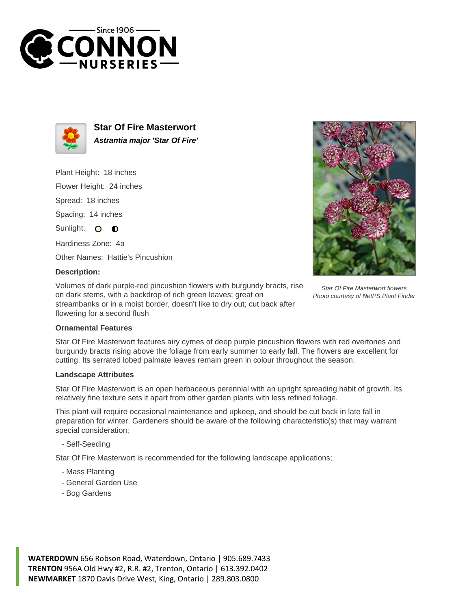



**Star Of Fire Masterwort Astrantia major 'Star Of Fire'**

Plant Height: 18 inches

Flower Height: 24 inches

Spread: 18 inches

Spacing: 14 inches

Sunlight: O  $\bullet$ 

Hardiness Zone: 4a

Other Names: Hattie's Pincushion

## **Description:**

Volumes of dark purple-red pincushion flowers with burgundy bracts, rise on dark stems, with a backdrop of rich green leaves; great on streambanks or in a moist border, doesn't like to dry out; cut back after flowering for a second flush



Star Of Fire Masterwort flowers Photo courtesy of NetPS Plant Finder

## **Ornamental Features**

Star Of Fire Masterwort features airy cymes of deep purple pincushion flowers with red overtones and burgundy bracts rising above the foliage from early summer to early fall. The flowers are excellent for cutting. Its serrated lobed palmate leaves remain green in colour throughout the season.

## **Landscape Attributes**

Star Of Fire Masterwort is an open herbaceous perennial with an upright spreading habit of growth. Its relatively fine texture sets it apart from other garden plants with less refined foliage.

This plant will require occasional maintenance and upkeep, and should be cut back in late fall in preparation for winter. Gardeners should be aware of the following characteristic(s) that may warrant special consideration;

- Self-Seeding

Star Of Fire Masterwort is recommended for the following landscape applications;

- Mass Planting
- General Garden Use
- Bog Gardens

**WATERDOWN** 656 Robson Road, Waterdown, Ontario | 905.689.7433 **TRENTON** 956A Old Hwy #2, R.R. #2, Trenton, Ontario | 613.392.0402 **NEWMARKET** 1870 Davis Drive West, King, Ontario | 289.803.0800